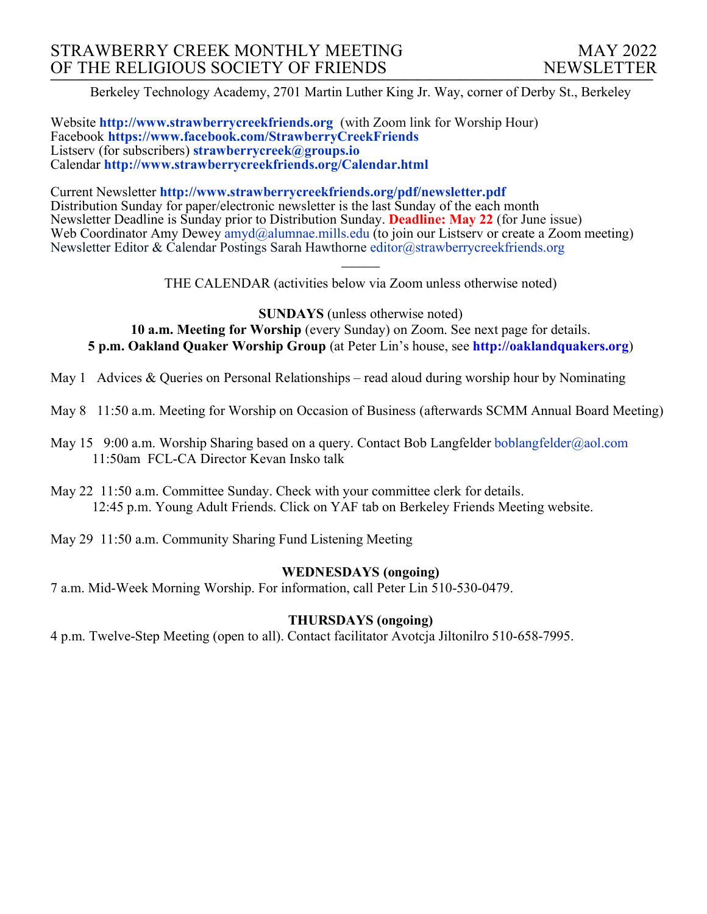Berkeley Technology Academy, 2701 Martin Luther King Jr. Way, corner of Derby St., Berkeley

Website **http://www.strawberrycreekfriends.org** (with Zoom link for Worship Hour) Facebook **https://www.facebook.com/StrawberryCreekFriends** Listserv (for subscribers) **strawberrycreek@groups.io** Calendar **http://www.strawberrycreekfriends.org/Calendar.html**

Current Newsletter **http://www.strawberrycreekfriends.org/pdf/newsletter.pdf** Distribution Sunday for paper/electronic newsletter is the last Sunday of the each month Newsletter Deadline is Sunday prior to Distribution Sunday. **Deadline: May 22** (for June issue) Web Coordinator Amy Dewey amyd@alumnae.mills.edu (to join our Listsery or create a Zoom meeting) Newsletter Editor & Calendar Postings Sarah Hawthorne editor@strawberrycreekfriends.org

> $\overline{\phantom{a}}$ THE CALENDAR (activities below via Zoom unless otherwise noted)

**SUNDAYS** (unless otherwise noted) **10 a.m. Meeting for Worship** (every Sunday) on Zoom. See next page for details. **5 p.m. Oakland Quaker Worship Group** (at Peter Lin's house, see **http://oaklandquakers.org**)

May 1 Advices & Queries on Personal Relationships – read aloud during worship hour by Nominating

- May 8 11:50 a.m. Meeting for Worship on Occasion of Business (afterwards SCMM Annual Board Meeting)
- May 15 9:00 a.m. Worship Sharing based on a query. Contact Bob Langfelder boblangfelder@aol.com 11:50am FCL-CA Director Kevan Insko talk

May 22 11:50 a.m. Committee Sunday. Check with your committee clerk for details. 12:45 p.m. Young Adult Friends. Click on YAF tab on Berkeley Friends Meeting website.

May 29 11:50 a.m. Community Sharing Fund Listening Meeting

# **WEDNESDAYS (ongoing)**

7 a.m. Mid-Week Morning Worship. For information, call Peter Lin 510-530-0479.

# **THURSDAYS (ongoing)**

4 p.m. Twelve-Step Meeting (open to all). Contact facilitator Avotcja Jiltonilro 510-658-7995.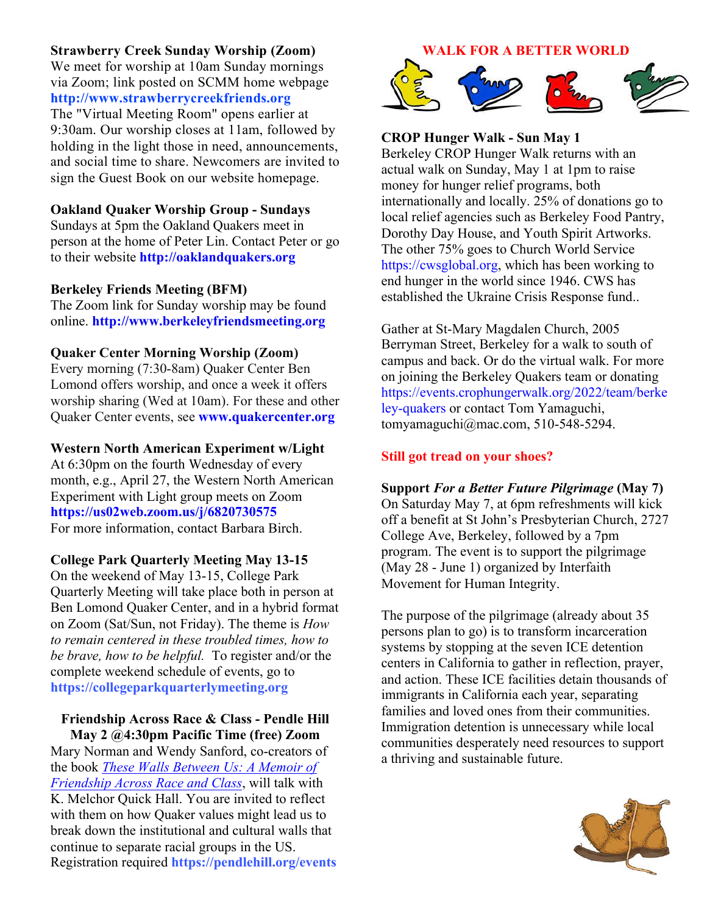# **Strawberry Creek Sunday Worship (Zoom)**

We meet for worship at 10am Sunday mornings via Zoom; link posted on SCMM home webpage **http://www.strawberrycreekfriends.org** The "Virtual Meeting Room" opens earlier at 9:30am. Our worship closes at 11am, followed by holding in the light those in need, announcements, and social time to share. Newcomers are invited to sign the Guest Book on our website homepage.

# **Oakland Quaker Worship Group - Sundays**

Sundays at 5pm the Oakland Quakers meet in person at the home of Peter Lin. Contact Peter or go to their website **http://oaklandquakers.org**

## **Berkeley Friends Meeting (BFM)**

The Zoom link for Sunday worship may be found online. **http://www.berkeleyfriendsmeeting.org**

## **Quaker Center Morning Worship (Zoom)**

Every morning (7:30-8am) Quaker Center Ben Lomond offers worship, and once a week it offers worship sharing (Wed at 10am). For these and other Quaker Center events, see **www.quakercenter.org**

### **Western North American Experiment w/Light**

At 6:30pm on the fourth Wednesday of every month, e.g., April 27, the Western North American Experiment with Light group meets on Zoom **https://us02web.zoom.us/j/6820730575** For more information, contact Barbara Birch.

### **College Park Quarterly Meeting May 13-15**

On the weekend of May 13-15, College Park Quarterly Meeting will take place both in person at Ben Lomond Quaker Center, and in a hybrid format on Zoom (Sat/Sun, not Friday). The theme is *How to remain centered in these troubled times, how to be brave, how to be helpful.* To register and/or the complete weekend schedule of events, go to **https://collegeparkquarterlymeeting.org**

### **Friendship Across Race & Class - Pendle Hill May 2 @4:30pm Pacific Time (free) Zoom**

Mary Norman and Wendy Sanford, co-creators of the book *These Walls Between Us: A Memoir of Friendship Across Race and Class*, will talk with K. Melchor Quick Hall. You are invited to reflect with them on how Quaker values might lead us to break down the institutional and cultural walls that continue to separate racial groups in the US. Registration required **https://pendlehill.org/events**

### **WALK FOR A BETTER WORLD**



## **CROP Hunger Walk - Sun May 1**

Berkeley CROP Hunger Walk returns with an actual walk on Sunday, May 1 at 1pm to raise money for hunger relief programs, both internationally and locally. 25% of donations go to local relief agencies such as Berkeley Food Pantry, Dorothy Day House, and Youth Spirit Artworks. The other 75% goes to Church World Service https://cwsglobal.org, which has been working to end hunger in the world since 1946. CWS has established the Ukraine Crisis Response fund..

Gather at St-Mary Magdalen Church, 2005 Berryman Street, Berkeley for a walk to south of campus and back. Or do the virtual walk. For more on joining the Berkeley Quakers team or donating https://events.crophungerwalk.org/2022/team/berke ley-quakers or contact Tom Yamaguchi, tomyamaguchi@mac.com, 510-548-5294.

## **Still got tread on your shoes?**

## **Support** *For a Better Future Pilgrimage* **(May 7)**

On Saturday May 7, at 6pm refreshments will kick off a benefit at St John's Presbyterian Church, 2727 College Ave, Berkeley, followed by a 7pm program. The event is to support the pilgrimage (May 28 - June 1) organized by Interfaith Movement for Human Integrity.

The purpose of the pilgrimage (already about 35 persons plan to go) is to transform incarceration systems by stopping at the seven ICE detention centers in California to gather in reflection, prayer, and action. These ICE facilities detain thousands of immigrants in California each year, separating families and loved ones from their communities. Immigration detention is unnecessary while local communities desperately need resources to support a thriving and sustainable future.

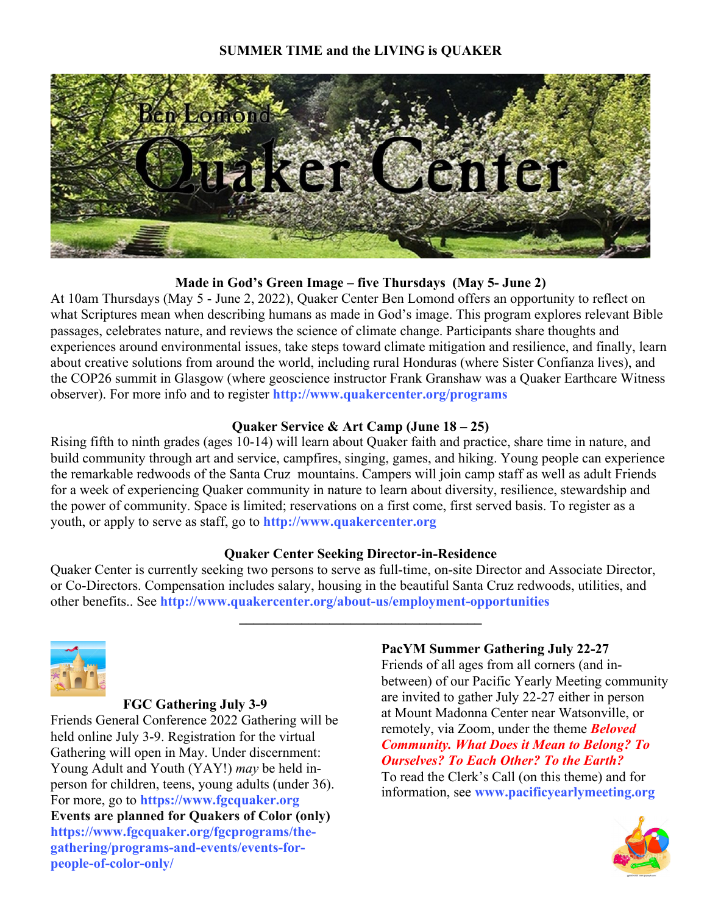# **SUMMER TIME and the LIVING is QUAKER**



# **Made in God's Green Image – five Thursdays (May 5- June 2)**

At 10am Thursdays (May 5 - June 2, 2022), Quaker Center Ben Lomond offers an opportunity to reflect on what Scriptures mean when describing humans as made in God's image. This program explores relevant Bible passages, celebrates nature, and reviews the science of climate change. Participants share thoughts and experiences around environmental issues, take steps toward climate mitigation and resilience, and finally, learn about creative solutions from around the world, including rural Honduras (where Sister Confianza lives), and the COP26 summit in Glasgow (where geoscience instructor Frank Granshaw was a Quaker Earthcare Witness observer). For more info and to register **http://www.quakercenter.org/programs**

# **Quaker Service & Art Camp (June 18 – 25)**

Rising fifth to ninth grades (ages 10-14) will learn about Quaker faith and practice, share time in nature, and build community through art and service, campfires, singing, games, and hiking. Young people can experience the remarkable redwoods of the Santa Cruz mountains. Campers will join camp staff as well as adult Friends for a week of experiencing Quaker community in nature to learn about diversity, resilience, stewardship and the power of community. Space is limited; reservations on a first come, first served basis. To register as a youth, or apply to serve as staff, go to **http://www.quakercenter.org**

# **Quaker Center Seeking Director-in-Residence**

Quaker Center is currently seeking two persons to serve as full-time, on-site Director and Associate Director, or Co-Directors. Compensation includes salary, housing in the beautiful Santa Cruz redwoods, utilities, and other benefits.. See **http://www.quakercenter.org/about-us/employment-opportunities**

**\_\_\_\_\_\_\_\_\_\_\_\_\_\_\_\_\_\_\_\_\_\_\_\_\_\_\_\_\_\_\_\_\_\_\_**



# **FGC Gathering July 3-9**

Friends General Conference 2022 Gathering will be held online July 3-9. Registration for the virtual Gathering will open in May. Under discernment: Young Adult and Youth (YAY!) *may* be held inperson for children, teens, young adults (under 36). For more, go to **https://www.fgcquaker.org Events are planned for Quakers of Color (only) https://www.fgcquaker.org/fgcprograms/thegathering/programs-and-events/events-forpeople-of-color-only/**

## **PacYM Summer Gathering July 22-27**

Friends of all ages from all corners (and inbetween) of our Pacific Yearly Meeting community are invited to gather July 22-27 either in person at Mount Madonna Center near Watsonville, or remotely, via Zoom, under the theme *Beloved Community. What Does it Mean to Belong? To Ourselves? To Each Other? To the Earth?* To read the Clerk's Call (on this theme) and for information, see **www.pacificyearlymeeting.org**

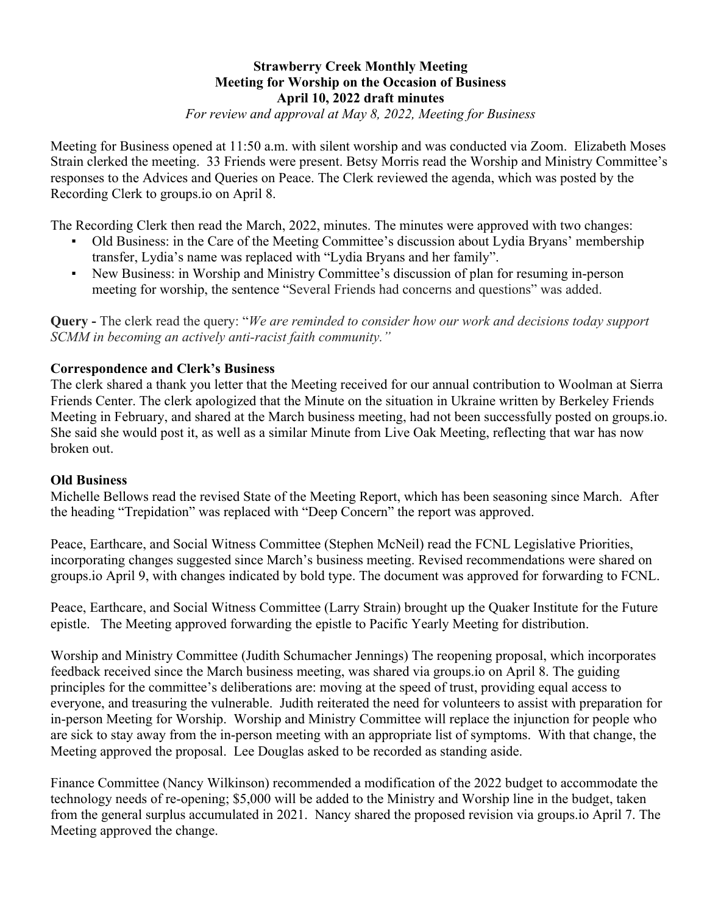# **Strawberry Creek Monthly Meeting Meeting for Worship on the Occasion of Business April 10, 2022 draft minutes**

*For review and approval at May 8, 2022, Meeting for Business*

Meeting for Business opened at 11:50 a.m. with silent worship and was conducted via Zoom. Elizabeth Moses Strain clerked the meeting. 33 Friends were present. Betsy Morris read the Worship and Ministry Committee's responses to the Advices and Queries on Peace. The Clerk reviewed the agenda, which was posted by the Recording Clerk to groups.io on April 8.

The Recording Clerk then read the March, 2022, minutes. The minutes were approved with two changes:

- Old Business: in the Care of the Meeting Committee's discussion about Lydia Bryans' membership transfer, Lydia's name was replaced with "Lydia Bryans and her family".
- New Business: in Worship and Ministry Committee's discussion of plan for resuming in-person meeting for worship, the sentence "Several Friends had concerns and questions" was added.

**Query -** The clerk read the query: "*We are reminded to consider how our work and decisions today support SCMM in becoming an actively anti-racist faith community."* 

# **Correspondence and Clerk's Business**

The clerk shared a thank you letter that the Meeting received for our annual contribution to Woolman at Sierra Friends Center. The clerk apologized that the Minute on the situation in Ukraine written by Berkeley Friends Meeting in February, and shared at the March business meeting, had not been successfully posted on groups.io. She said she would post it, as well as a similar Minute from Live Oak Meeting, reflecting that war has now broken out.

## **Old Business**

Michelle Bellows read the revised State of the Meeting Report, which has been seasoning since March. After the heading "Trepidation" was replaced with "Deep Concern" the report was approved.

Peace, Earthcare, and Social Witness Committee (Stephen McNeil) read the FCNL Legislative Priorities, incorporating changes suggested since March's business meeting. Revised recommendations were shared on groups.io April 9, with changes indicated by bold type. The document was approved for forwarding to FCNL.

Peace, Earthcare, and Social Witness Committee (Larry Strain) brought up the Quaker Institute for the Future epistle. The Meeting approved forwarding the epistle to Pacific Yearly Meeting for distribution.

Worship and Ministry Committee (Judith Schumacher Jennings) The reopening proposal, which incorporates feedback received since the March business meeting, was shared via groups.io on April 8. The guiding principles for the committee's deliberations are: moving at the speed of trust, providing equal access to everyone, and treasuring the vulnerable. Judith reiterated the need for volunteers to assist with preparation for in-person Meeting for Worship. Worship and Ministry Committee will replace the injunction for people who are sick to stay away from the in-person meeting with an appropriate list of symptoms. With that change, the Meeting approved the proposal. Lee Douglas asked to be recorded as standing aside.

Finance Committee (Nancy Wilkinson) recommended a modification of the 2022 budget to accommodate the technology needs of re-opening; \$5,000 will be added to the Ministry and Worship line in the budget, taken from the general surplus accumulated in 2021. Nancy shared the proposed revision via groups.io April 7. The Meeting approved the change.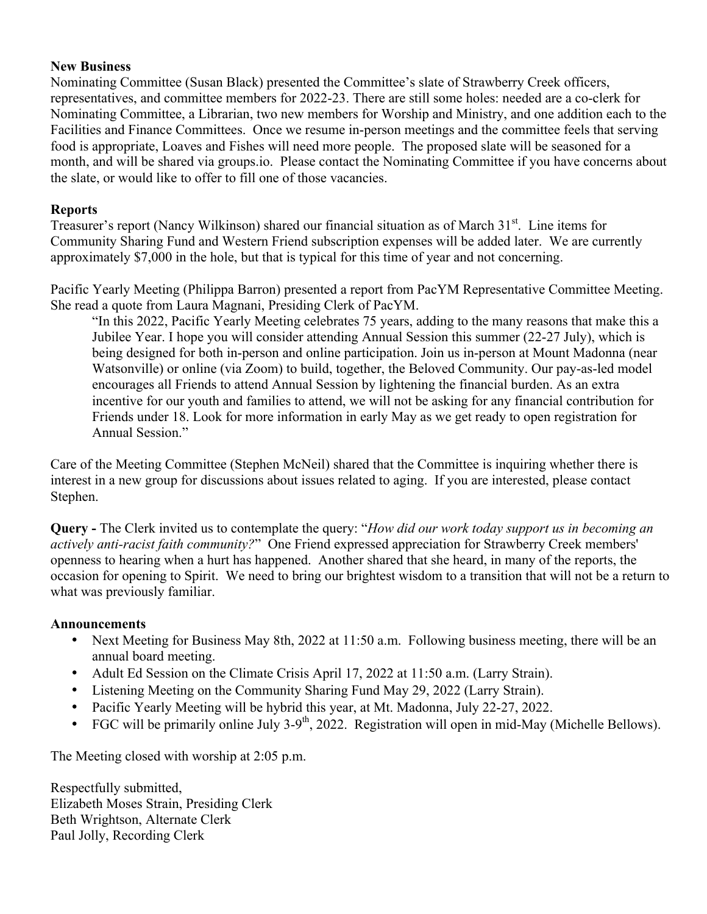## **New Business**

Nominating Committee (Susan Black) presented the Committee's slate of Strawberry Creek officers, representatives, and committee members for 2022-23. There are still some holes: needed are a co-clerk for Nominating Committee, a Librarian, two new members for Worship and Ministry, and one addition each to the Facilities and Finance Committees. Once we resume in-person meetings and the committee feels that serving food is appropriate, Loaves and Fishes will need more people. The proposed slate will be seasoned for a month, and will be shared via groups.io. Please contact the Nominating Committee if you have concerns about the slate, or would like to offer to fill one of those vacancies.

# **Reports**

Treasurer's report (Nancy Wilkinson) shared our financial situation as of March 31st. Line items for Community Sharing Fund and Western Friend subscription expenses will be added later. We are currently approximately \$7,000 in the hole, but that is typical for this time of year and not concerning.

Pacific Yearly Meeting (Philippa Barron) presented a report from PacYM Representative Committee Meeting. She read a quote from Laura Magnani, Presiding Clerk of PacYM.

"In this 2022, Pacific Yearly Meeting celebrates 75 years, adding to the many reasons that make this a Jubilee Year. I hope you will consider attending Annual Session this summer (22-27 July), which is being designed for both in-person and online participation. Join us in-person at Mount Madonna (near Watsonville) or online (via Zoom) to build, together, the Beloved Community. Our pay-as-led model encourages all Friends to attend Annual Session by lightening the financial burden. As an extra incentive for our youth and families to attend, we will not be asking for any financial contribution for Friends under 18. Look for more information in early May as we get ready to open registration for Annual Session."

Care of the Meeting Committee (Stephen McNeil) shared that the Committee is inquiring whether there is interest in a new group for discussions about issues related to aging. If you are interested, please contact Stephen.

**Query -** The Clerk invited us to contemplate the query: "*How did our work today support us in becoming an actively anti-racist faith community?*" One Friend expressed appreciation for Strawberry Creek members' openness to hearing when a hurt has happened. Another shared that she heard, in many of the reports, the occasion for opening to Spirit. We need to bring our brightest wisdom to a transition that will not be a return to what was previously familiar.

# **Announcements**

- Next Meeting for Business May 8th, 2022 at 11:50 a.m. Following business meeting, there will be an annual board meeting.
- Adult Ed Session on the Climate Crisis April 17, 2022 at 11:50 a.m. (Larry Strain).
- Listening Meeting on the Community Sharing Fund May 29, 2022 (Larry Strain).
- Pacific Yearly Meeting will be hybrid this year, at Mt. Madonna, July 22-27, 2022.
- FGC will be primarily online July 3-9<sup>th</sup>, 2022. Registration will open in mid-May (Michelle Bellows).

The Meeting closed with worship at 2:05 p.m.

Respectfully submitted, Elizabeth Moses Strain, Presiding Clerk Beth Wrightson, Alternate Clerk Paul Jolly, Recording Clerk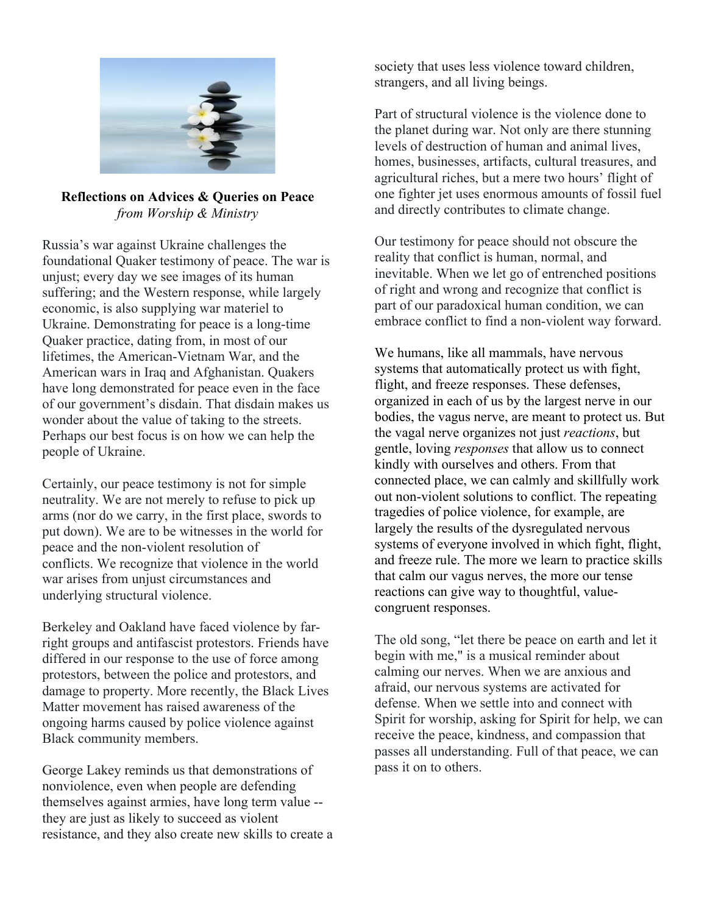

# **Reflections on Advices & Queries on Peace** *from Worship & Ministry*

Russia's war against Ukraine challenges the foundational Quaker testimony of peace. The war is unjust; every day we see images of its human suffering; and the Western response, while largely economic, is also supplying war materiel to Ukraine. Demonstrating for peace is a long-time Quaker practice, dating from, in most of our lifetimes, the American-Vietnam War, and the American wars in Iraq and Afghanistan. Quakers have long demonstrated for peace even in the face of our government's disdain. That disdain makes us wonder about the value of taking to the streets. Perhaps our best focus is on how we can help the people of Ukraine.

Certainly, our peace testimony is not for simple neutrality. We are not merely to refuse to pick up arms (nor do we carry, in the first place, swords to put down). We are to be witnesses in the world for peace and the non-violent resolution of conflicts. We recognize that violence in the world war arises from unjust circumstances and underlying structural violence.

Berkeley and Oakland have faced violence by farright groups and antifascist protestors. Friends have differed in our response to the use of force among protestors, between the police and protestors, and damage to property. More recently, the Black Lives Matter movement has raised awareness of the ongoing harms caused by police violence against Black community members.

George Lakey reminds us that demonstrations of nonviolence, even when people are defending themselves against armies, have long term value - they are just as likely to succeed as violent resistance, and they also create new skills to create a society that uses less violence toward children, strangers, and all living beings.

Part of structural violence is the violence done to the planet during war. Not only are there stunning levels of destruction of human and animal lives, homes, businesses, artifacts, cultural treasures, and agricultural riches, but a mere two hours' flight of one fighter jet uses enormous amounts of fossil fuel and directly contributes to climate change.

Our testimony for peace should not obscure the reality that conflict is human, normal, and inevitable. When we let go of entrenched positions of right and wrong and recognize that conflict is part of our paradoxical human condition, we can embrace conflict to find a non-violent way forward.

We humans, like all mammals, have nervous systems that automatically protect us with fight, flight, and freeze responses. These defenses, organized in each of us by the largest nerve in our bodies, the vagus nerve, are meant to protect us. But the vagal nerve organizes not just *reactions*, but gentle, loving *responses* that allow us to connect kindly with ourselves and others. From that connected place, we can calmly and skillfully work out non-violent solutions to conflict. The repeating tragedies of police violence, for example, are largely the results of the dysregulated nervous systems of everyone involved in which fight, flight, and freeze rule. The more we learn to practice skills that calm our vagus nerves, the more our tense reactions can give way to thoughtful, valuecongruent responses.

The old song, "let there be peace on earth and let it begin with me," is a musical reminder about calming our nerves. When we are anxious and afraid, our nervous systems are activated for defense. When we settle into and connect with Spirit for worship, asking for Spirit for help, we can receive the peace, kindness, and compassion that passes all understanding. Full of that peace, we can pass it on to others.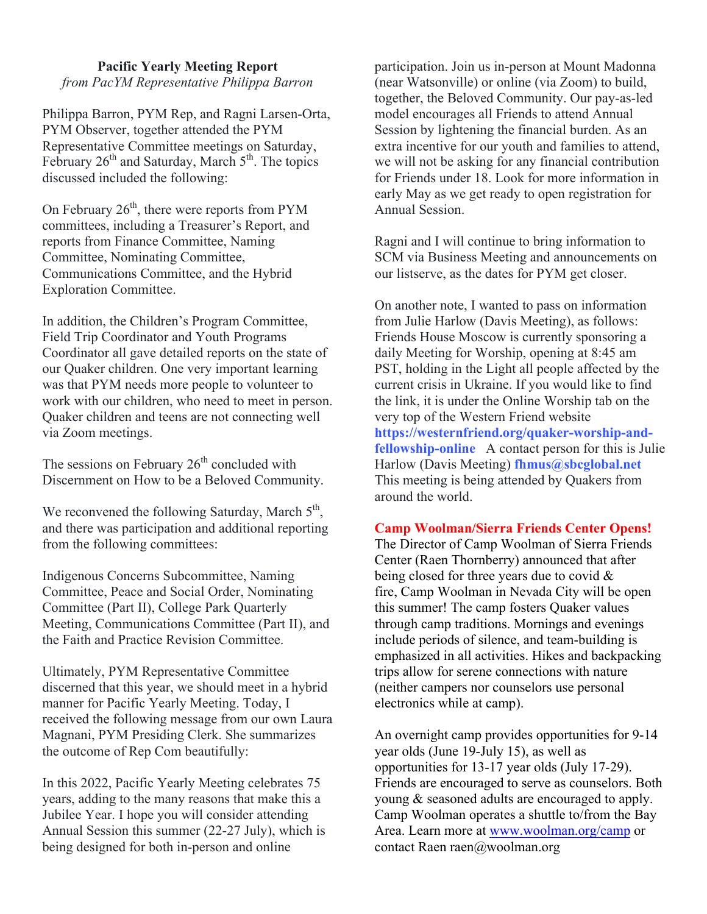## **Pacific Yearly Meeting Report**

*from PacYM Representative Philippa Barron*

Philippa Barron, PYM Rep, and Ragni Larsen-Orta, PYM Observer, together attended the PYM Representative Committee meetings on Saturday, February  $26<sup>th</sup>$  and Saturday, March  $5<sup>th</sup>$ . The topics discussed included the following:

On February  $26<sup>th</sup>$ , there were reports from PYM committees, including a Treasurer's Report, and reports from Finance Committee, Naming Committee, Nominating Committee, Communications Committee, and the Hybrid Exploration Committee.

In addition, the Children's Program Committee, Field Trip Coordinator and Youth Programs Coordinator all gave detailed reports on the state of our Quaker children. One very important learning was that PYM needs more people to volunteer to work with our children, who need to meet in person. Quaker children and teens are not connecting well via Zoom meetings.

The sessions on February  $26<sup>th</sup>$  concluded with Discernment on How to be a Beloved Community.

We reconvened the following Saturday, March  $5<sup>th</sup>$ , and there was participation and additional reporting from the following committees:

Indigenous Concerns Subcommittee, Naming Committee, Peace and Social Order, Nominating Committee (Part II), College Park Quarterly Meeting, Communications Committee (Part II), and the Faith and Practice Revision Committee.

Ultimately, PYM Representative Committee discerned that this year, we should meet in a hybrid manner for Pacific Yearly Meeting. Today, I received the following message from our own Laura Magnani, PYM Presiding Clerk. She summarizes the outcome of Rep Com beautifully:

In this 2022, Pacific Yearly Meeting celebrates 75 years, adding to the many reasons that make this a Jubilee Year. I hope you will consider attending Annual Session this summer (22-27 July), which is being designed for both in-person and online

participation. Join us in-person at Mount Madonna (near Watsonville) or online (via Zoom) to build, together, the Beloved Community. Our pay-as-led model encourages all Friends to attend Annual Session by lightening the financial burden. As an extra incentive for our youth and families to attend, we will not be asking for any financial contribution for Friends under 18. Look for more information in early May as we get ready to open registration for Annual Session.

Ragni and I will continue to bring information to SCM via Business Meeting and announcements on our listserve, as the dates for PYM get closer.

On another note, I wanted to pass on information from Julie Harlow (Davis Meeting), as follows: Friends House Moscow is currently sponsoring a daily Meeting for Worship, opening at 8:45 am PST, holding in the Light all people affected by the current crisis in Ukraine. If you would like to find the link, it is under the Online Worship tab on the very top of the Western Friend website **https://westernfriend.org/quaker-worship-andfellowship-online** A contact person for this is Julie Harlow (Davis Meeting) **fhmus@sbcglobal.net** This meeting is being attended by Quakers from around the world.

### **Camp Woolman/Sierra Friends Center Opens!**

The Director of Camp Woolman of Sierra Friends Center (Raen Thornberry) announced that after being closed for three years due to covid & fire, Camp Woolman in Nevada City will be open this summer! The camp fosters Quaker values through camp traditions. Mornings and evenings include periods of silence, and team-building is emphasized in all activities. Hikes and backpacking trips allow for serene connections with nature (neither campers nor counselors use personal electronics while at camp).

An overnight camp provides opportunities for 9-14 year olds (June 19-July 15), as well as opportunities for 13-17 year olds (July 17-29). Friends are encouraged to serve as counselors. Both young & seasoned adults are encouraged to apply. Camp Woolman operates a shuttle to/from the Bay Area. Learn more at www.woolman.org/camp or contact Raen raen@woolman.org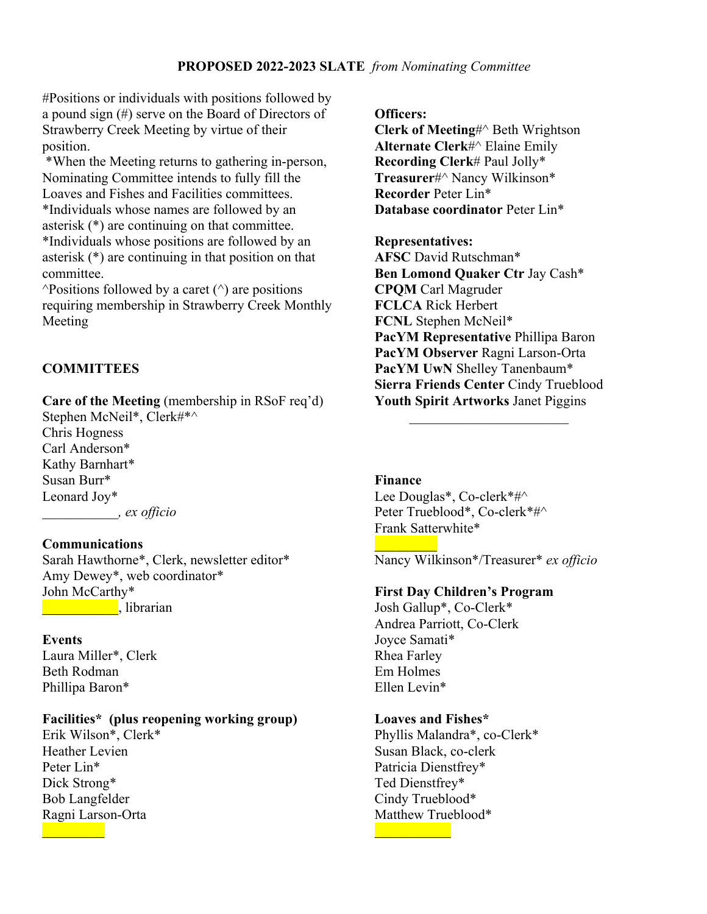## **PROPOSED 2022-2023 SLATE** *from Nominating Committee*

#Positions or individuals with positions followed by a pound sign (#) serve on the Board of Directors of Strawberry Creek Meeting by virtue of their position.

\*When the Meeting returns to gathering in-person, Nominating Committee intends to fully fill the Loaves and Fishes and Facilities committees. \*Individuals whose names are followed by an asterisk (\*) are continuing on that committee. \*Individuals whose positions are followed by an asterisk (\*) are continuing in that position on that committee.

 $\triangle$ Positions followed by a caret  $(\triangle)$  are positions requiring membership in Strawberry Creek Monthly Meeting

## **COMMITTEES**

**Care of the Meeting** (membership in RSoF req'd)

Stephen McNeil\*, Clerk#\*^ Chris Hogness Carl Anderson\* Kathy Barnhart\* Susan Burr\* Leonard Joy\* *\_\_\_\_\_\_\_\_\_\_\_, ex officio*

### **Communications**

Sarah Hawthorne\*, Clerk, newsletter editor\* Amy Dewey\*, web coordinator\* John McCarthy\* **Latin Librarian**, librarian

#### **Events**

Laura Miller\*, Clerk Beth Rodman Phillipa Baron\*

### **Facilities\* (plus reopening working group)**

Erik Wilson\*, Clerk\* Heather Levien Peter Lin\* Dick Strong\* Bob Langfelder Ragni Larson-Orta

**Officers:**

**Clerk of Meeting**#^ Beth Wrightson **Alternate Clerk**#^ Elaine Emily **Recording Clerk**# Paul Jolly\* **Treasurer**#^ Nancy Wilkinson\* **Recorder** Peter Lin\* **Database coordinator** Peter Lin\*

**Representatives: AFSC** David Rutschman\* **Ben Lomond Quaker Ctr** Jay Cash\* **CPQM** Carl Magruder **FCLCA** Rick Herbert **FCNL** Stephen McNeil\* **PacYM Representative** Phillipa Baron **PacYM Observer** Ragni Larson-Orta **PacYM UwN** Shelley Tanenbaum\* **Sierra Friends Center** Cindy Trueblood **Youth Spirit Artworks** Janet Piggins

 $\mathcal{L}_\text{max}$  , we are the set of the set of the set of the set of the set of the set of the set of the set of the set of the set of the set of the set of the set of the set of the set of the set of the set of the set of

**Finance**

 $\frac{1}{2}$ 

Lee Douglas\*, Co-clerk\*#^ Peter Trueblood\*, Co-clerk\*#^ Frank Satterwhite\*

Nancy Wilkinson\*/Treasurer\* *ex officio*

#### **First Day Children's Program**

Josh Gallup\*, Co-Clerk\* Andrea Parriott, Co-Clerk Joyce Samati\* Rhea Farley Em Holmes Ellen Levin\*

#### **Loaves and Fishes\***

Phyllis Malandra\*, co-Clerk\* Susan Black, co-clerk Patricia Dienstfrey\* Ted Dienstfrey\* Cindy Trueblood\* Matthew Trueblood\*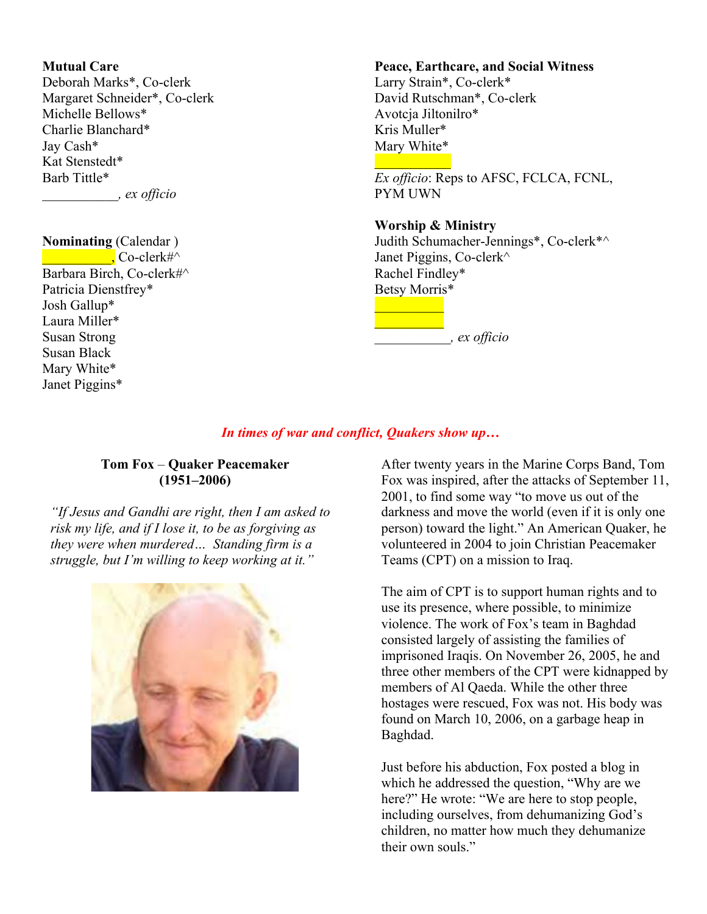## **Mutual Care**

Deborah Marks\*, Co-clerk Margaret Schneider\*, Co-clerk Michelle Bellows\* Charlie Blanchard\* Jay Cash\* Kat Stenstedt\* Barb Tittle\* *\_\_\_\_\_\_\_\_\_\_\_, ex officio*

# **Nominating** (Calendar )

 $\blacksquare$  Co-clerk#^ Barbara Birch, Co-clerk#^ Patricia Dienstfrey\* Josh Gallup\* Laura Miller\* Susan Strong Susan Black Mary White\* Janet Piggins\*

### **Peace, Earthcare, and Social Witness**

Larry Strain\*, Co-clerk\* David Rutschman\*, Co-clerk Avotcja Jiltonilro\* Kris Muller\* Mary White\*  $\frac{1}{2}$ 

*Ex officio*: Reps to AFSC, FCLCA, FCNL, PYM UWN

#### **Worship & Ministry**

 $\frac{1}{2}$ 

Judith Schumacher-Jennings\*, Co-clerk\*^ Janet Piggins, Co-clerk^ Rachel Findley\* Betsy Morris\*  $\frac{1}{2}$ 

*\_\_\_\_\_\_\_\_\_\_\_, ex officio*

## *In times of war and conflict, Quakers show up…*

## **Tom Fox** – **Quaker Peacemaker (1951–2006)**

*"If Jesus and Gandhi are right, then I am asked to risk my life, and if I lose it, to be as forgiving as they were when murdered… Standing firm is a struggle, but I'm willing to keep working at it."*



After twenty years in the Marine Corps Band, Tom Fox was inspired, after the attacks of September 11, 2001, to find some way "to move us out of the darkness and move the world (even if it is only one person) toward the light." An American Quaker, he volunteered in 2004 to join Christian Peacemaker Teams (CPT) on a mission to Iraq.

The aim of CPT is to support human rights and to use its presence, where possible, to minimize violence. The work of Fox's team in Baghdad consisted largely of assisting the families of imprisoned Iraqis. On November 26, 2005, he and three other members of the CPT were kidnapped by members of Al Qaeda. While the other three hostages were rescued, Fox was not. His body was found on March 10, 2006, on a garbage heap in Baghdad.

Just before his abduction, Fox posted a blog in which he addressed the question, "Why are we here?" He wrote: "We are here to stop people, including ourselves, from dehumanizing God's children, no matter how much they dehumanize their own souls."